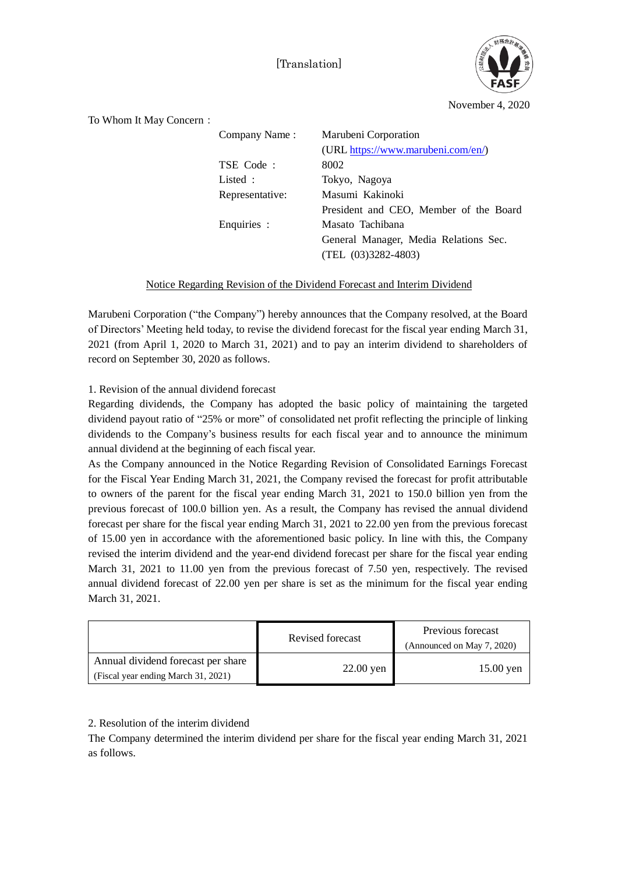[Translation]



November 4, 2020

To Whom It May Concern: Company Name : Marubeni Corporation (URL [https://www.marubeni.com/en/\)](https://www.marubeni.com/en/) TSE Code : 8002 Listed : Tokyo, Nagoya Representative: Masumi Kakinoki President and CEO, Member of the Board Enquiries : Masato Tachibana General Manager, Media Relations Sec. (TEL (03)3282-4803)

## Notice Regarding Revision of the Dividend Forecast and Interim Dividend

Marubeni Corporation ("the Company") hereby announces that the Company resolved, at the Board of Directors' Meeting held today, to revise the dividend forecast for the fiscal year ending March 31, 2021 (from April 1, 2020 to March 31, 2021) and to pay an interim dividend to shareholders of record on September 30, 2020 as follows.

## 1. Revision of the annual dividend forecast

Regarding dividends, the Company has adopted the basic policy of maintaining the targeted dividend payout ratio of "25% or more" of consolidated net profit reflecting the principle of linking dividends to the Company's business results for each fiscal year and to announce the minimum annual dividend at the beginning of each fiscal year.

As the Company announced in the Notice Regarding Revision of Consolidated Earnings Forecast for the Fiscal Year Ending March 31, 2021, the Company revised the forecast for profit attributable to owners of the parent for the fiscal year ending March 31, 2021 to 150.0 billion yen from the previous forecast of 100.0 billion yen. As a result, the Company has revised the annual dividend forecast per share for the fiscal year ending March 31, 2021 to 22.00 yen from the previous forecast of 15.00 yen in accordance with the aforementioned basic policy. In line with this, the Company revised the interim dividend and the year-end dividend forecast per share for the fiscal year ending March 31, 2021 to 11.00 yen from the previous forecast of 7.50 yen, respectively. The revised annual dividend forecast of 22.00 yen per share is set as the minimum for the fiscal year ending March 31, 2021.

|                                                                           | Revised forecast | Previous forecast<br>(Announced on May 7, 2020) |
|---------------------------------------------------------------------------|------------------|-------------------------------------------------|
| Annual dividend forecast per share<br>(Fiscal year ending March 31, 2021) | $22.00$ yen      | $15.00$ yen                                     |

## 2. Resolution of the interim dividend

The Company determined the interim dividend per share for the fiscal year ending March 31, 2021 as follows.